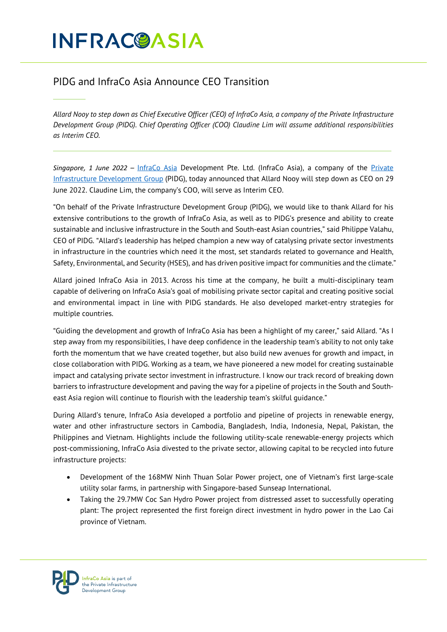# **INFRACOASIA**

## PIDG and InfraCo Asia Announce CEO Transition

*Allard Nooy to step down as Chief Executive Officer (CEO) of InfraCo Asia, a company of the Private Infrastructure Development Group (PIDG). Chief Operating Officer (COO) Claudine Lim will assume additional responsibilities as Interim CEO.* 

*Singapore, 1 June 2022 –* [InfraCo Asia](http://www.infracoasia.com/) Development Pte. Ltd. (InfraCo Asia), a company of the [Private](http://www.pidg.org/)  [Infrastructure Development Group](http://www.pidg.org/) (PIDG), today announced that Allard Nooy will step down as CEO on 29 June 2022. Claudine Lim, the company's COO, will serve as Interim CEO.

"On behalf of the Private Infrastructure Development Group (PIDG), we would like to thank Allard for his extensive contributions to the growth of InfraCo Asia, as well as to PIDG's presence and ability to create sustainable and inclusive infrastructure in the South and South-east Asian countries," said Philippe Valahu, CEO of PIDG. "Allard's leadership has helped champion a new way of catalysing private sector investments in infrastructure in the countries which need it the most, set standards related to governance and Health, Safety, Environmental, and Security (HSES), and has driven positive impact for communities and the climate."

Allard joined InfraCo Asia in 2013. Across his time at the company, he built a multi-disciplinary team capable of delivering on InfraCo Asia's goal of mobilising private sector capital and creating positive social and environmental impact in line with PIDG standards. He also developed market-entry strategies for multiple countries.

"Guiding the development and growth of InfraCo Asia has been a highlight of my career," said Allard. "As I step away from my responsibilities, I have deep confidence in the leadership team's ability to not only take forth the momentum that we have created together, but also build new avenues for growth and impact, in close collaboration with PIDG. Working as a team, we have pioneered a new model for creating sustainable impact and catalysing private sector investment in infrastructure. I know our track record of breaking down barriers to infrastructure development and paving the way for a pipeline of projects in the South and Southeast Asia region will continue to flourish with the leadership team's skilful guidance."

During Allard's tenure, InfraCo Asia developed a portfolio and pipeline of projects in renewable energy, water and other infrastructure sectors in Cambodia, Bangladesh, India, Indonesia, Nepal, Pakistan, the Philippines and Vietnam. Highlights include the following utility-scale renewable-energy projects which post-commissioning, InfraCo Asia divested to the private sector, allowing capital to be recycled into future infrastructure projects:

- Development of the 168MW Ninh Thuan Solar Power project, one of Vietnam's first large-scale utility solar farms, in partnership with Singapore-based Sunseap International.
- Taking the 29.7MW Coc San Hydro Power project from distressed asset to successfully operating plant: The project represented the first foreign direct investment in hydro power in the Lao Cai province of Vietnam.